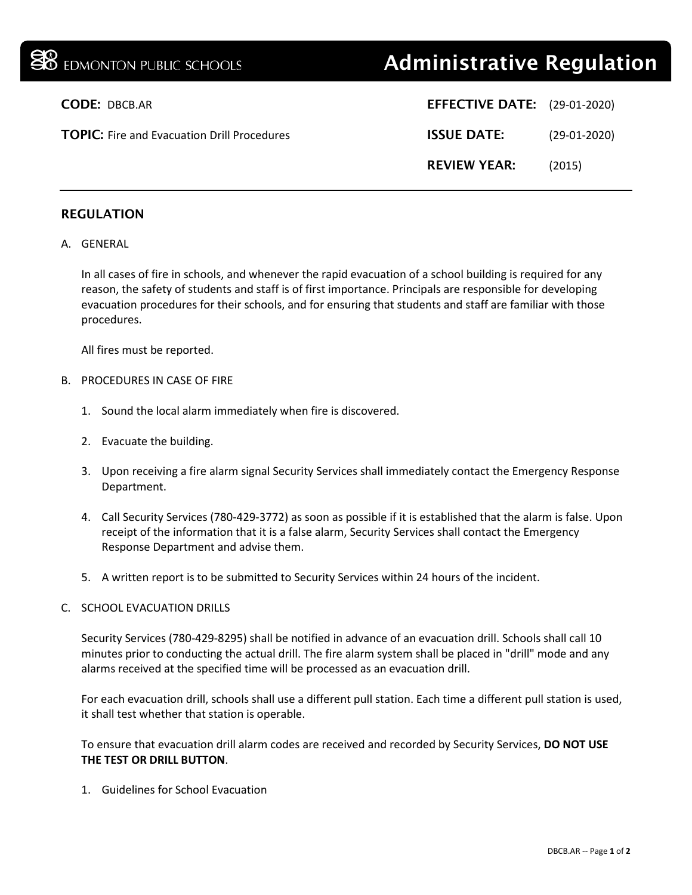| <b>SO</b> EDMONTON PUBLIC SCHOOLS                  | <b>Administrative Regulation</b>    |                |
|----------------------------------------------------|-------------------------------------|----------------|
| <b>CODE: DBCB.AR</b>                               | <b>EFFECTIVE DATE:</b> (29-01-2020) |                |
| <b>TOPIC:</b> Fire and Evacuation Drill Procedures | <b>ISSUE DATE:</b>                  | $(29-01-2020)$ |
|                                                    | <b>REVIEW YEAR:</b>                 | (2015)         |
|                                                    |                                     |                |

## REGULATION

## A. GENERAL

In all cases of fire in schools, and whenever the rapid evacuation of a school building is required for any reason, the safety of students and staff is of first importance. Principals are responsible for developing evacuation procedures for their schools, and for ensuring that students and staff are familiar with those procedures.

All fires must be reported.

## B. PROCEDURES IN CASE OF FIRE

- 1. Sound the local alarm immediately when fire is discovered.
- 2. Evacuate the building.
- 3. Upon receiving a fire alarm signal Security Services shall immediately contact the Emergency Response Department.
- 4. Call Security Services (780-429-3772) as soon as possible if it is established that the alarm is false. Upon receipt of the information that it is a false alarm, Security Services shall contact the Emergency Response Department and advise them.
- 5. A written report is to be submitted to Security Services within 24 hours of the incident.

## C. SCHOOL EVACUATION DRILLS

Security Services (780-429-8295) shall be notified in advance of an evacuation drill. Schools shall call 10 minutes prior to conducting the actual drill. The fire alarm system shall be placed in "drill" mode and any alarms received at the specified time will be processed as an evacuation drill.

For each evacuation drill, schools shall use a different pull station. Each time a different pull station is used, it shall test whether that station is operable.

To ensure that evacuation drill alarm codes are received and recorded by Security Services, **DO NOT USE THE TEST OR DRILL BUTTON**.

1. Guidelines for School Evacuation